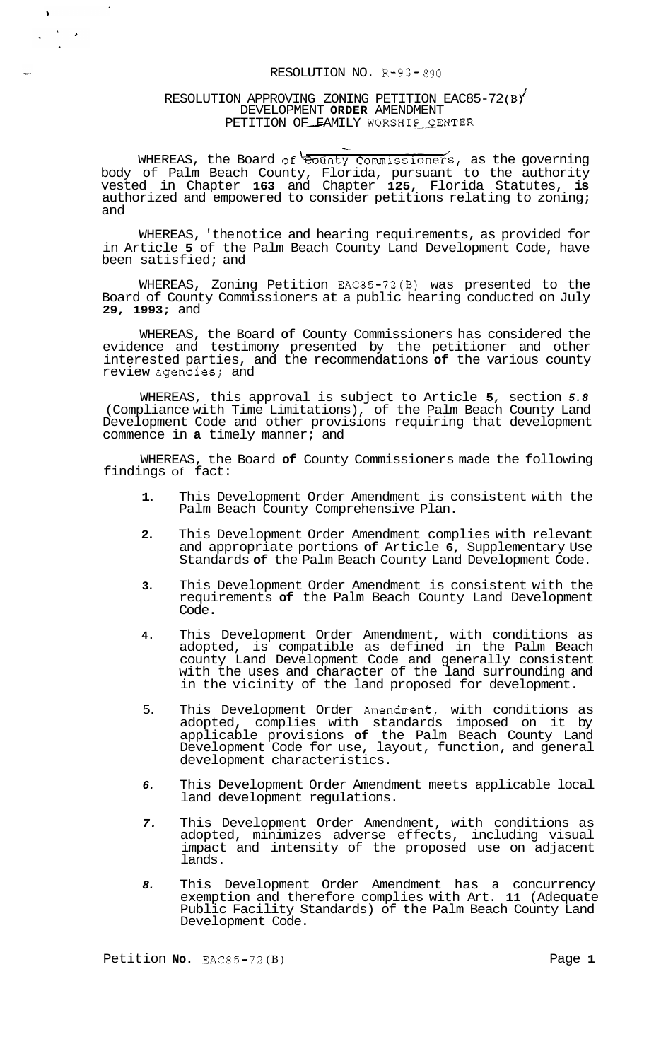## RESOLUTION NO. R-93- *890*

# RESOLUTION APPROVING ZONING PETITION EAC85-72(B) DEVELOPMENT **ORDER** AMENDMENT RESOLUTION NO. R-93-890<br>ON APPROVING ZONING PETITION EAC85<br>DEVELOPMENT ORDER AMENDMENT<br>PETITION OE FAMILY WORSHIP CENTER -

 $\ddot{\phantom{a}}$ 

 $\pmb{\Downarrow}$ 

WHEREAS, the Board of <del>County Commissioners, as the governing</del> body of Palm Beach County, Florida, pursuant to the authority vested in Chapter **163** and Chapter **125,** Florida Statutes, **is**  authorized and empowered to consider petitions relating to zoning; and

WHEREAS, 'the notice and hearing requirements, as provided for in Article **5** of the Palm Beach County Land Development Code, have been satisfied; and

WHEREAS, Zoning Petition EAC85-72(B) was presented to the Board of County Commissioners at a public hearing conducted on July **29, 1993;** and

WHEREAS, the Board **of** County Commissioners has considered the evidence and testimony presented by the petitioner and other interested parties, and the recommendations **of** the various county review cgencies; and

WHEREAS, this approval is subject to Article **5,** section *5.8*  (Compliance with Time Limitations), of the Palm Beach County Land Development Code and other provisions requiring that development commence in **a** timely manner; and

WHEREAS, the Board **of** County Commissioners made the following findings of fact:

- **1.** This Development Order Amendment is consistent with the Palm Beach County Comprehensive Plan.
- **2.** This Development Order Amendment complies with relevant and appropriate portions **of** Article **6,** Supplementary Use Standards **of** the Palm Beach County Land Development Code.
- **3.** This Development Order Amendment is consistent with the requirements **of** the Palm Beach County Land Development Code.
- **4.** This Development Order Amendment, with conditions as adopted, is compatible as defined in the Palm Beach county Land Development Code and generally consistent with the uses and character of the land surrounding and in the vicinity of the land proposed for development.
- 5. This Development Order Amendrent, with conditions as adopted, complies with standards imposed on it by applicable provisions **of** the Palm Beach County Land Development Code for use, layout, function, and general development characteristics.
- *6.* This Development Order Amendment meets applicable local land development regulations.
- *7.* This Development Order Amendment, with conditions as adopted, minimizes adverse effects, including visual impact and intensity of the proposed use on adjacent lands.
- *8.* This Development Order Amendment has a concurrency exemption and therefore complies with Art. **11** (Adequate Public Facility Standards) of the Palm Beach County Land Development Code.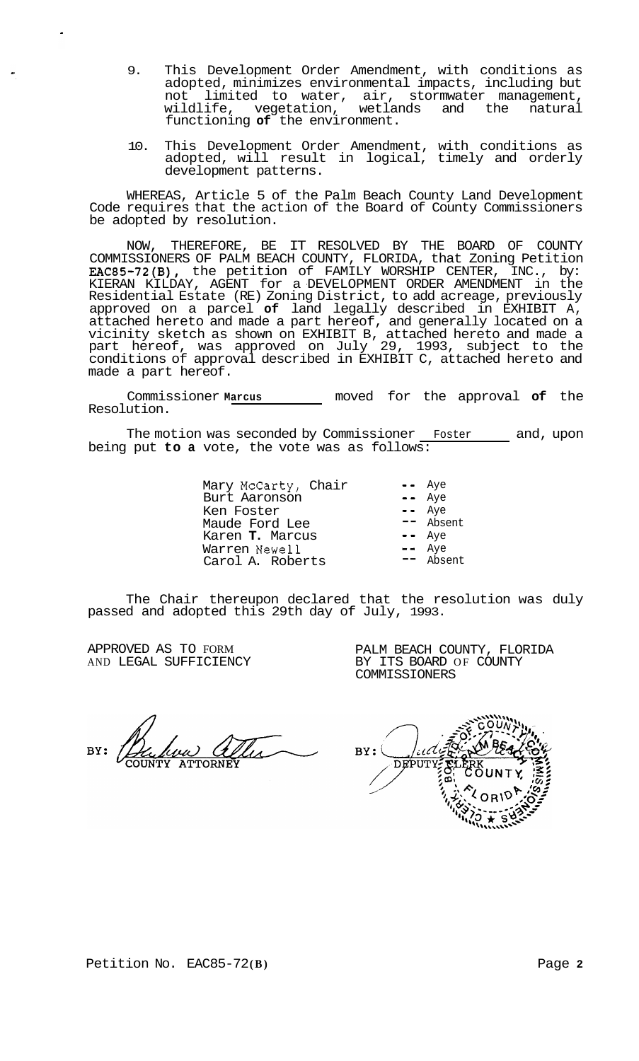- 9. This Development Order Amendment, with conditions as adopted, minimizes environmental impacts, including but not limited to water, air, stormwater management, wildlife, vegetation, wetlands and the natural functioning **of** the environment.
- 10. This Development Order Amendment, with conditions as adopted, will result in logical, timely and orderly development patterns.

WHEREAS, Article 5 of the Palm Beach County Land Development Code requires that the action of the Board of County Commissioners be adopted by resolution.

NOW, THEREFORE, BE IT RESOLVED BY THE BOARD OF COUNTY COMMISSIONERS OF PALM BEACH COUNTY, FLORIDA, that Zoning Petition EAC85-72(B), the petition of FAMILY WORSHIP CENTER, INC., by: KIERAN KILDAY, AGENT for a DEVELOPMENT ORDER AMENDMENT in the Residential Estate (RE) Zoning District, to add acreage, previously approved on a parcel **of** land legally described in EXHIBIT A, attached hereto and made a part hereof, and generally located on a vicinity sketch as shown on EXHIBIT B, attached hereto and made a part hereof, was approved on July 29, 1993, subject to the conditions of approval described in EXHIBIT C, attached hereto and made a part hereof.

Commissioner **Marcus** moved for the approval **of** the Resolution.

The motion was seconded by Commissioner Foster and, upon being put **to a** vote, the vote was as follows:

> Mary McCarty, Chair -- Aye Burt Aaronson -- Aye Burt Aaronson -- Aye<br>Ken Foster -- Aye<br>Maude Ford Lee -- Absent Maude Ford Lee -- Absent Karen **T.** Marcus -- Aye Xaren T. Marcus<br>
> Warren Newell -- Aye<br>
> Carol A. Roberts -- Absent Carol A. Roberts

The Chair thereupon declared that the resolution was duly passed and adopted this 29th day of July, 1993.

APPROVED AS TO FORM AND LEGAL SUFFICIENCY

PALM BEACH COUNTY, FLORIDA BY ITS BOARD OF COUNTY COMMISSIONERS

'iid  $BY:$ **DEPUTY**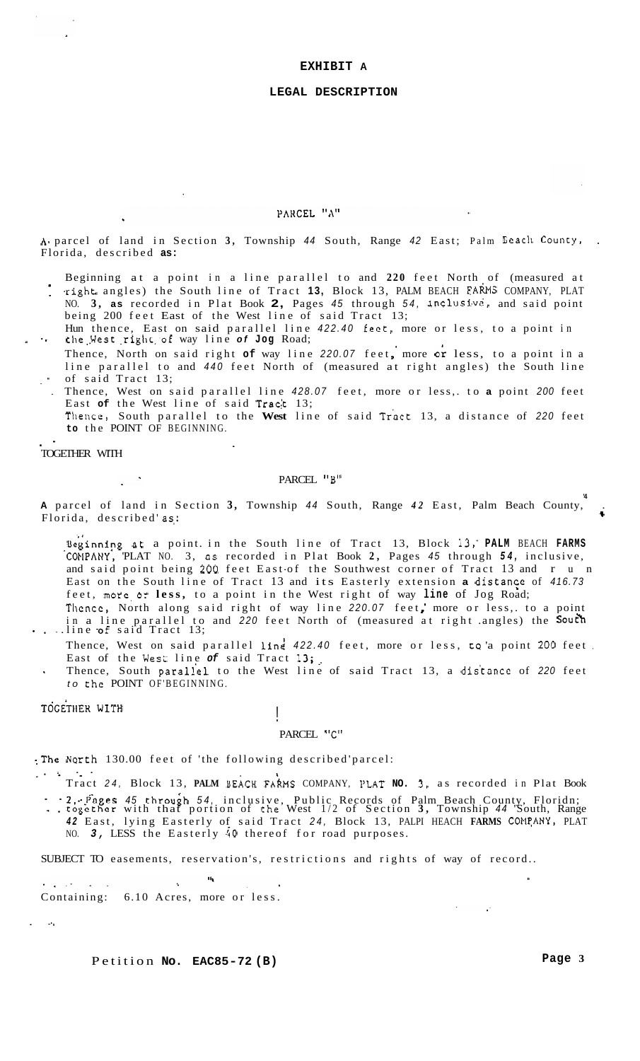#### **EXHIBIT A**

#### **LEGAL DESCRIPTION**

#### PARCEL "A"

A. parcel of land in Section 3, Township 44 South, Range 42 East; Palm Beach County, Florida, described **as:** 

- Beginning at a point in a line parallel to and **220** feet North of (measured at
- 1 -right. angles) the South line of Tract **13,** Block 13, PALM BEACH FARMS COMPANY, PLAT NO. **3, as** recorded in Plat Book **2,** Pages *45* through *54,* Inclusi.vc, and said point being 200 feet East of the West line of said Tract 13;
- Hun thence, East on said parallel line *422.40* feet, more or less, to a point in - -\* the..West ,right;of way line *of* **Jog** Road;
	- Thence, North on said right of way line 220.07 feet, more or less, to a point in a line parallel to and *440* feet North of (measured at right angles) the South line of said Tract 13;
	- . Thence, West on said parallel line *428.07* feet, more or less,. to **a** point *200* feet East of the West line of said Tract 13; Thence, South parallel to the **West** line of said Troct 13, a distance of *220* feet
	- **to** the POINT OF BEGINNING.

## . - TOGETHER WITH

#### PARCEL "B"

**A** parcel of land in Section **3,** Township *44* South, Range *42* East, Palm Beach County, . **'4**  A parter or rand in Section 3, rownsmp 44 South, Kange 42 East, rann beach County,  $\ddots$ 

Beginning at a point in the South line of Tract 13, Block 13, PALM BEACH FARMS 'COtlPANY: 'PLAT NO. 3, **as** recorded in Plat Book **2,** Pages *45* through *54,* inclusive, and said point being 200 feet East of the Southwest corner of Tract 13 and r u n East on the South line of Tract 13 and its Easterly extension a distance of 416.73 feet, more.or **less,** to a point in the West right of way **line** of Jog Road; Thence, North along said right of way line 220.07 feet, more or less,. to a point

in a line parallel to and 220 feet North of (measured at right .angles) the **South**<br>
...line **of** said Tract 13;

- Thence, West on said parallel line 422.40 feet, more or less, to a point 200 feet. East of the West line of said Tract 13;
- *to* the POINT OF'BEGINNING. , Thence, South paraliel to the West line of said Tract 13, a dis'tance of *220* feet

### TOGETHER WITH

## PARCEL "C"

: The North 130.00 feet of 'the following described'parcel:  $\cdots$  ... ...

 $\mathbf{H}_{\mathbf{t}}$ 

Tract *24,* Block 13, **PALM** BEACH FAXWS COMPANY, PLAT **NO. 3.** as recorded in Plat Book

-. tog'cthcr with that portion of the West 1/2 of Section **3,** Township *44* 'South, Range - - 2,.--Pages *45* throuih *54,* inclusive, Public Records of Palm Beach County, Floridn;

42 East, lying Easterly of said Tract 24, Block 13, PALPI HEACH FARMS COMPANY, PLAT NO. *3,* LESS the Easterly **40** thereof for road purposes.

SUBJECT TO easements, reservation's, restrictions and rights of way of record..

 $\mathcal{O}_{\mathcal{A}}$  , where  $\mathcal{O}_{\mathcal{A}}$  and  $\sim$ Containing: 6.10 Acres, more or less.

. **--I** 

Petition **No. EAC85-72 (B)** Page 3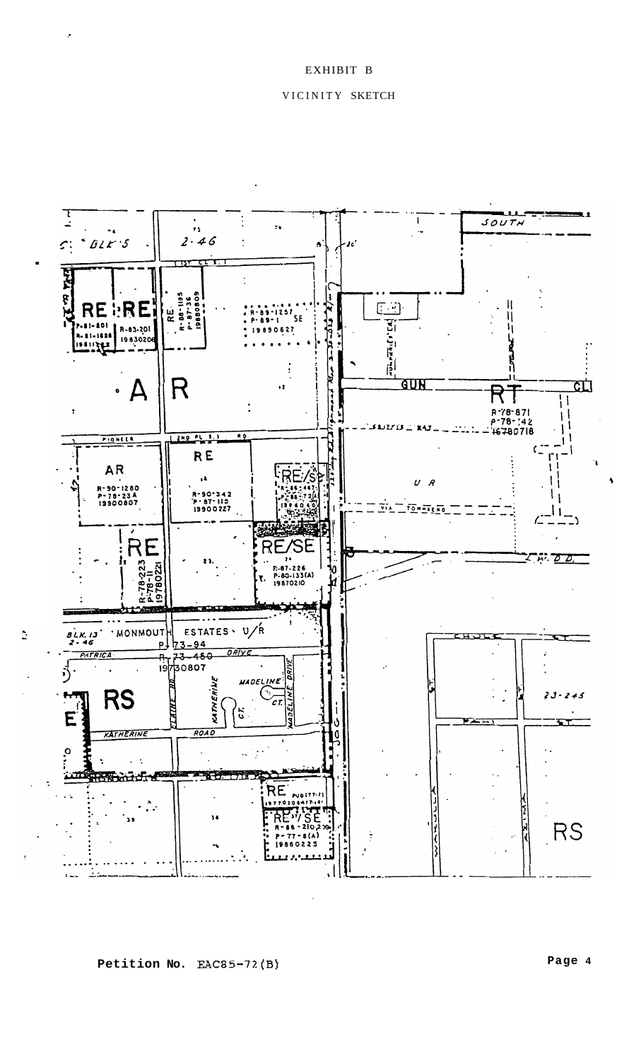# EXHIBIT B

## VICINITY SKETCH



**Petition No. EAC85-72(B)** 

**Page 4**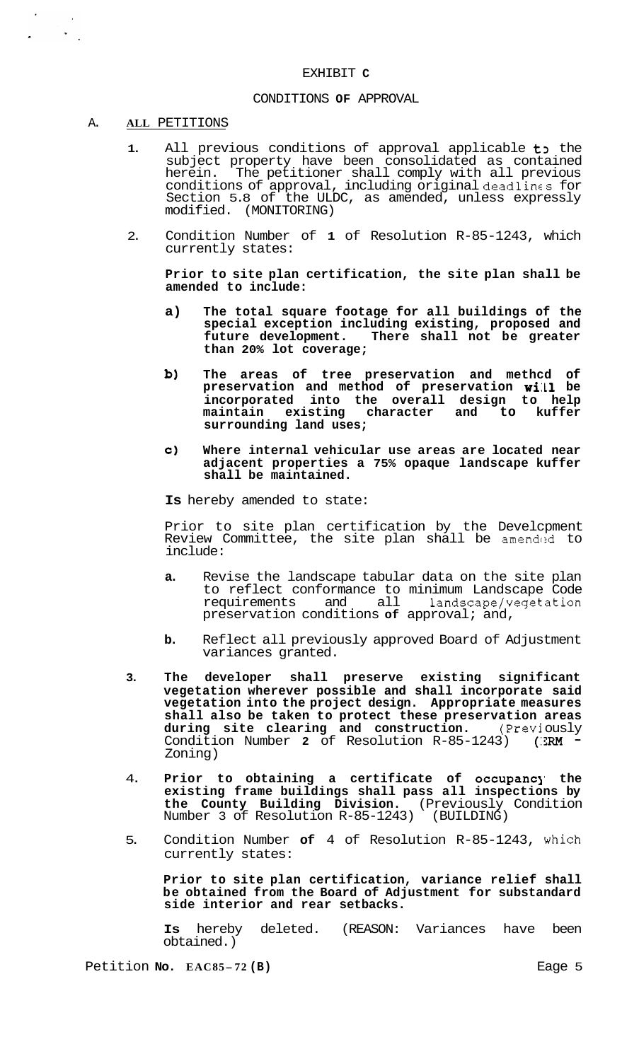#### EXHIBIT **C**

## CONDITIONS **OF** APPROVAL

#### A. **ALL** PETITIONS

 $\mathbf{z}$ 

- 1. All previous conditions of approval applicable to the subject property have been consolidated as contained herein. The petitioner shall comply with all previous conditions of approval, including original deadlines for Section 5.8 of the ULDC, as amended, unless expressly modified. (MONITORING) (MONITORING)
- 2. Condition Number of **1** of Resolution R-85-1243, which currently states:

**Prior to site plan certification, the site plan shall be amended to include:** 

- **a) The total square footage for all buildings of the special exception including existing, proposed and future development. There shall not be greater than 20% lot coverage;**
- **b) The areas of tree preservation and methcd of preservation and method of preservation wi:L1 be incorporated into the overall design to help maintain existing character and to kuffer surrounding land uses;**
- **c) Where internal vehicular use areas are located near adjacent properties a 75% opaque landscape kuffer shall be maintained.**

**Is** hereby amended to state:

Prior to site plan certification by the Develcpment Review Committee, the site plan shall be amended to include:

- **a.** Revise the landscape tabular data on the site plan to reflect conformance to minimum Landscape Code<br>requirements and all landscape/vegetation requirements and all preservation conditions **of** approval; and,
- **b.** Reflect all previously approved Board of Adjustment variances granted.
- **3. The developer shall preserve existing significant vegetation wherever possible and shall incorporate said vegetation into the project design. Appropriate measures shall also be taken to protect these preservation areas during site clearing and construction.** (Previ ously Condition Number **2** of Resolution R-85-1243) (:3RM - Zoning)
- 4. **Prior to obtaining a certificate of occupancj' the existing frame buildings shall pass all inspections by the County Building Division.** (Previously Condition Number 3 of Resolution R-85-1243)
- 5. Condition Number **of** 4 of Resolution R-85-1243, which currently states:

**Prior to site plan certification, variance relief shall be obtained from the Board of Adjustment for substandard side interior and rear setbacks.** 

**Is** hereby deleted. (REASON: Variances have been obtained.)

Petition **No.** EAC85-72 (B) Eage 5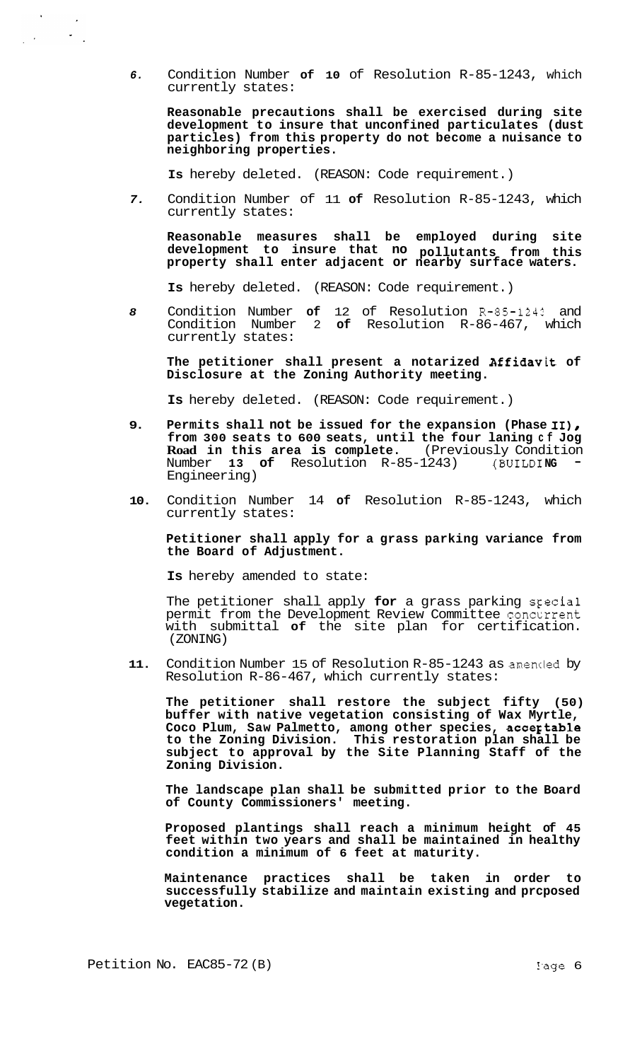*6.* Condition Number **of 10** of Resolution R-85-1243, which currently states:

**Reasonable precautions shall be exercised during site development to insure that unconfined particulates (dust particles) from this property do not become a nuisance to neighboring properties.** 

**Is** hereby deleted. (REASON: Code requirement.)

*7.* Condition Number of 11 **of** Resolution R-85-1243, which currently states:

**Reasonable measures shall be employed during site development to insure that no pollutants from this property shall enter adjacent or nearby surface waters.** 

**Is** hereby deleted. (REASON: Code requirement.)

*8* Condition Number **of** 12 of Resolution R-85-1242 and Condition Number 2 **of** Resolution R-86-467, which currently states:

**The petitioner shall present a notarized Affidavit of Disclosure at the Zoning Authority meeting.** 

**Is** hereby deleted. (REASON: Code requirement.)

- **9. Permits shall not be issued for the expansion (Phase 11)** *<sup>8</sup>* **from 300 seats to 600 seats, until the four laning cf Jog Road in this area is complete.** (Previously Condition Number **13 of** Resolution R-85-1243) (BUILDING Engineering)
- **10.** Condition Number 14 **of** Resolution R-85-1243, which currently states:

**Petitioner shall apply for a grass parking variance from the Board of Adjustment.** 

**Is** hereby amended to state:

The petitioner shall apply **for** a grass parking sFecial permit from the Development Review Committee concurrent with submittal **of** the site plan for certification. (ZONING)

**11.** Condition Number 15 of Resolution R-85-1243 as amencled by Resolution R-86-467, which currently states:

**The petitioner shall restore the subject fifty (50) buffer with native vegetation consisting of Wax Myrtle,**  Coco Plum, Saw Palmetto, among other species, acceptable **to the Zoning Division. This restoration plan shall be subject to approval by the Site Planning Staff of the Zoning Division.** 

**The landscape plan shall be submitted prior to the Board of County Commissioners' meeting.** 

**Proposed plantings shall reach a minimum height of 45 feet within two years and shall be maintained in healthy condition a minimum of 6 feet at maturity.** 

**Maintenance practices shall be taken in order to successfully stabilize and maintain existing and prcposed vegetation.** 

 $\rightarrow$ 

 $\frac{1}{2} \frac{d}{dt} \frac{d\phi}{dt}$ 

 $\sim$  $\sim$   $\sim$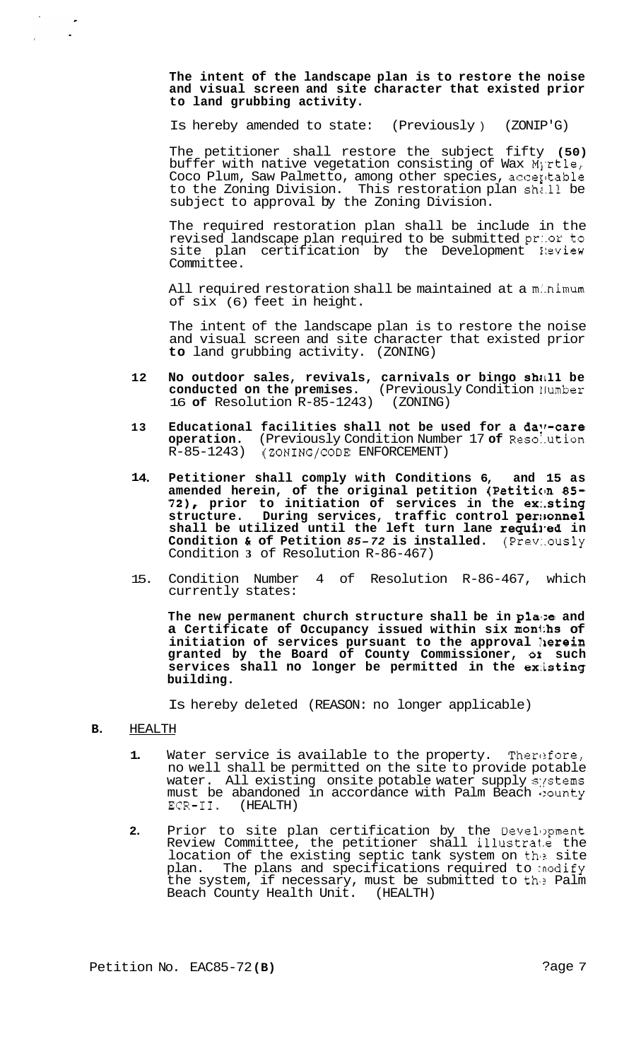**The intent of the landscape plan is to restore the noise and visual screen and site character that existed prior to land grubbing activity.** 

Is hereby amended to state: (Previously ) (ZONIP'G)

The petitioner shall restore the subject fifty **(50)**  buffer with native vegetation consisting of Wax Myrtle, Coco Plum, Saw Palmetto, among other species, accerltable to the Zoning Division. This restoration plan shz.11 be subject to approval by the Zoning Division.

The required restoration plan shall be include in the revised landscape plan required to be submitted pr:.or to site plan certification by the Development Neview Committee.

All required restoration shall be maintained at a minimum of six (6) feet in height.

The intent of the landscape plan is to restore the noise and visual screen and site character that existed prior **to** land grubbing activity. (ZONING)

- **12 No outdoor sales, revivals, carnivals or bingo shall be conducted on the premises.** (Previously Condition llumber 16 **of** Resolution R-85-1243) (ZONING)
- 13 Educational facilities shall not be used for a day-care **operation.** (Previously Condition Number 17 **of** Reso:.ution (ZONING/CODE ENFORCEMENT)
- **1 4. Petitioner shall comply with Conditions 6, and 15 as amended herein, of the original petition (Petiticm** *85- 72),* **prior to initiation of services in the ex:.sting structure. During services, traffic control per:Eonnel**  shall be utilized until the left turn lane **requi**r**ed** in **Condition** & **of Petition** *85- <sup>72</sup>***is installed.** (Prev:.ously Condition **3** of Resolution R-86-467)
- 15. Condition Number 4 of Resolution R-86-467, which currently states:

The new permanent church structure shall be in place and **a Certificate of Occupancy issued within six mon1;hs of initiation of services pursuant to the approval llerein granted by the Board of County Commissioner,** *01* **such**  services shall no longer be permitted in the existing **building.** 

Is hereby deleted (REASON: no longer applicable)

**B.** HEALTH

 $\sim 10^{-1}$ 

- **1.** Water service is available to the property. Therefore, no well shall be permitted on the site to provide potable water. All existing onsite potable water supply systems must be abandoned in accordance with Palm Beach bounty ECR-II. (HEALTH) (HEALTH)
- **2.** Prior to site plan certification by the Development Review Committee, the petitioner shall illustrate the location of the existing septic tank system on the site plan. The plans and specifications required to :nodify the system, if necessary, must be submitted to the Palm Beach County Health Unit. (HEALTH)